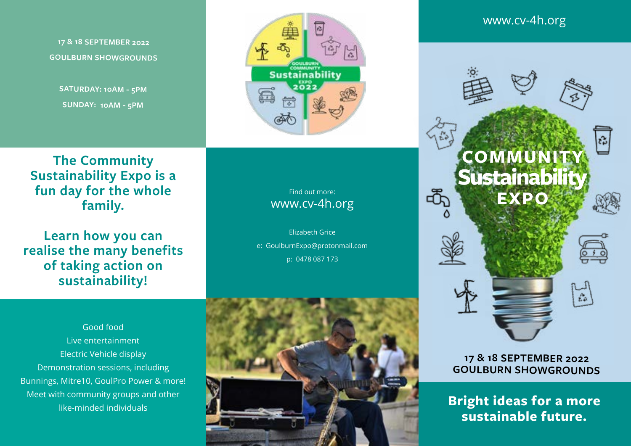**17 & 18 SEPTEMBER 2022 GOULBURN SHOWGROUNDS**

**SATURDAY: 10AM - 5PM SUNDAY: 10AM - 5PM**



**Learn how you can realise the many benefits of taking action on sustainability!** 

Find out more: www.cv-4h.org

**Sustainability** 

Elizabeth Grice e: GoulburnExpo@protonmail.com p: 0478 087 173





## www.cv-4h.org



#### **17 & 18 SEPTEMBER 2022 GOULBURN SHOWGROUNDS**

**Bright ideas for a more sustainable future.**